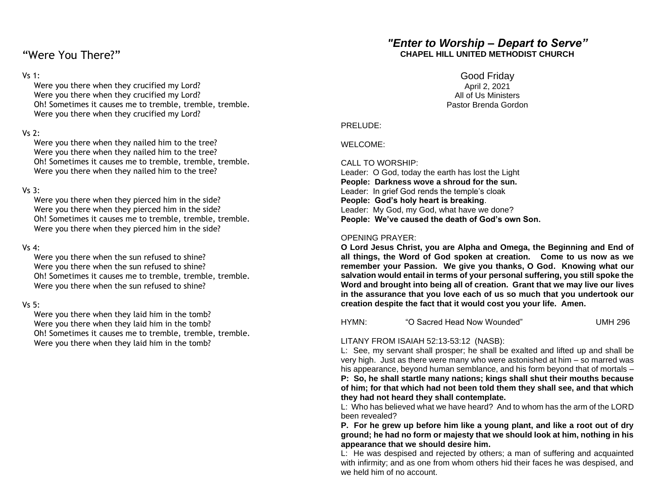# "Were You There?"

### Vs 1:

Were you there when they crucified my Lord? Were you there when they crucified my Lord? Oh! Sometimes it causes me to tremble, tremble, tremble. Were you there when they crucified my Lord?

### Vs 2:

Were you there when they nailed him to the tree? Were you there when they nailed him to the tree? Oh! Sometimes it causes me to tremble, tremble, tremble. Were you there when they nailed him to the tree?

### Vs 3:

Were you there when they pierced him in the side? Were you there when they pierced him in the side? Oh! Sometimes it causes me to tremble, tremble, tremble. Were you there when they pierced him in the side?

#### Vs 4:

Were you there when the sun refused to shine? Were you there when the sun refused to shine? Oh! Sometimes it causes me to tremble, tremble, tremble. Were you there when the sun refused to shine?

#### Vs 5:

Were you there when they laid him in the tomb? Were you there when they laid him in the tomb? Oh! Sometimes it causes me to tremble, tremble, tremble. Were you there when they laid him in the tomb?

# *"Enter to Worship – Depart to Serve"* **CHAPEL HILL UNITED METHODIST CHURCH**

Good Friday April 2, 2021 All of Us Ministers Pastor Brenda Gordon

# PRELUDE:

# WELCOME:

# CALL TO WORSHIP:

Leader: O God, today the earth has lost the Light **People: Darkness wove a shroud for the sun.** Leader: In grief God rends the temple's cloak **People: God's holy heart is breaking**. Leader: My God, my God, what have we done? **People: We've caused the death of God's own Son.**

### OPENING PRAYER:

**O Lord Jesus Christ, you are Alpha and Omega, the Beginning and End of all things, the Word of God spoken at creation. Come to us now as we remember your Passion. We give you thanks, O God. Knowing what our salvation would entail in terms of your personal suffering, you still spoke the Word and brought into being all of creation. Grant that we may live our lives in the assurance that you love each of us so much that you undertook our creation despite the fact that it would cost you your life. Amen.**

HYMN: "O Sacred Head Now Wounded" UMH 296

# LITANY FROM ISAIAH 52:13-53:12 (NASB):

L: See, my servant shall prosper; he shall be exalted and lifted up and shall be very high. Just as there were many who were astonished at him – so marred was his appearance, beyond human semblance, and his form beyond that of mortals – **P: So, he shall startle many nations; kings shall shut their mouths because of him; for that which had not been told them they shall see, and that which they had not heard they shall contemplate.**

L: Who has believed what we have heard? And to whom has the arm of the LORD been revealed?

**P. For he grew up before him like a young plant, and like a root out of dry ground; he had no form or majesty that we should look at him, nothing in his appearance that we should desire him.**

L: He was despised and rejected by others; a man of suffering and acquainted with infirmity; and as one from whom others hid their faces he was despised, and we held him of no account.